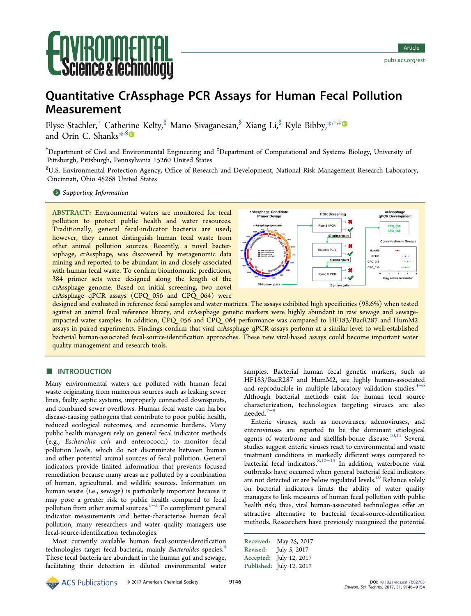# **Ce & lechnolo**

# Quantitative CrAssphage PCR Assays for Human Fecal Pollution Measurement

Elyse Stachler,<sup>†</sup> Cathe[rin](#page-7-0)e Kelty,<sup>§</sup> Mano Sivaganesan,<sup>§</sup> Xiang Li,<sup>§</sup> Kyle Bibby,<sup>[\\*](#page-7-0),†,[‡](#page-7-0)</sup> and Orin C. Shanks<sup>[\\*](#page-7-0),§</sup>

 $^\dagger$ Department of Civil and Environmental Engineering and  $^\ddagger$ Department of Computational and Systems Biology, University of Pittsburgh, Pittsburgh, Pennsylvania 15260 United States

 $^{\$}$ U.S. Environmental Protection Agency, Office of Research and Development, National Risk Management Research Laboratory, Cincinnati, Ohio 45268 United States

### **S** [Supporting Information](#page-7-0)

ABSTRACT: Environmental waters are monitored for fecal pollution to protect public health and water resources. Traditionally, general fecal-indicator bacteria are used; however, they cannot distinguish human fecal waste from other animal pollution sources. Recently, a novel bacteriophage, crAssphage, was discovered by metagenomic data mining and reported to be abundant in and closely associated with human fecal waste. To confirm bioinformatic predictions, 384 primer sets were designed along the length of the crAssphage genome. Based on initial screening, two novel crAssphage qPCR assays (CPQ\_056 and CPQ\_064) were



designed and evaluated in reference fecal samples and water matrices. The assays exhibited high specificities (98.6%) when tested against an animal fecal reference library, and crAssphage genetic markers were highly abundant in raw sewage and sewageimpacted water samples. In addition, CPQ\_056 and CPQ\_064 performance was compared to HF183/BacR287 and HumM2 assays in paired experiments. Findings confirm that viral crAssphage qPCR assays perform at a similar level to well-established bacterial human-associated fecal-source-identification approaches. These new viral-based assays could become important water quality management and research tools.

# **■ INTRODUCTION**

Many environmental waters are polluted with human fecal waste originating from numerous sources such as leaking sewer lines, faulty septic systems, improperly connected downspouts, and combined sewer overflows. Human fecal waste can harbor disease-causing pathogens that contribute to poor public health, reduced ecological outcomes, and economic burdens. Many public health managers rely on general fecal indicator methods (e.g., Escherichia coli and enterococci) to monitor fecal pollution levels, which do not discriminate between human and other potential animal sources of fecal pollution. General indicators provide limited information that prevents focused remediation because many areas are polluted by a combination of human, agricultural, and wildlife sources. Information on human waste (i.e., sewage) is particularly important because it may pose a greater risk to public health compared to fecal pollution from other animal sources.<sup>[1](#page-7-0)−[3](#page-7-0)</sup> To compliment general indicator measurements and better-characterize human fecal pollution, many researchers and water quality managers use fecal-source-identification technologies.

Most currently available human fecal-source-identification technologies target fecal bacteria, mainly Bacteroides species.<sup>[4](#page-7-0)</sup> These fecal bacteria are abundant in the human gut and sewage, facilitating their detection in diluted environmental water samples. Bacterial human fecal genetic markers, such as HF183/BacR287 and HumM2, are highly human-associated and reproducible in multiple laboratory validation studies. $4-6$  $4-6$  $4-6$ Although bacterial methods exist for human fecal source characterization, technologies targeting viruses are also needed.<sup>[7](#page-7-0)−</sup>

Enteric viruses, such as noroviruses, adenoviruses, and enteroviruses are reported to be the dominant etiological agents of waterborne and shellfish-borne disease.<sup>[10,11](#page-7-0)</sup> Several studies suggest enteric viruses react to environmental and waste treatment conditions in markedly different ways compared to bacterial fecal indicators.[8,12](#page-7-0)−[15](#page-7-0) In addition, waterborne viral outbreaks have occurred when general bacterial fecal indicators are not detected or are below regulated levels.<sup>[10](#page-7-0)</sup> Reliance solely on bacterial indicators limits the ability of water quality managers to link measures of human fecal pollution with public health risk; thus, viral human-associated technologies offer an attractive alternative to bacterial fecal-source-identification methods. Researchers have previously recognized the potential

Received: May 25, 2017 Revised: July 5, 2017 Accepted: July 12, 2017 Published: July 12, 2017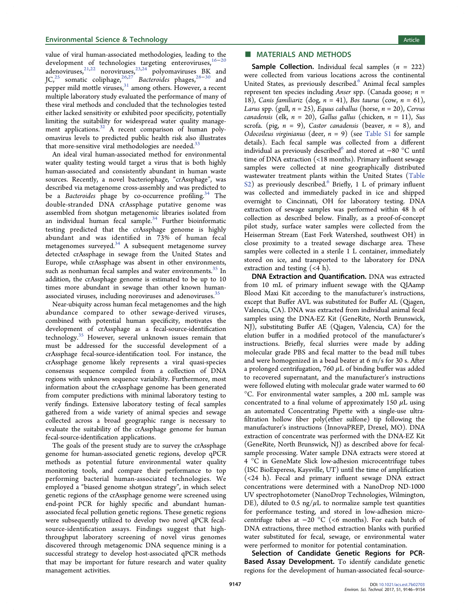value of viral human-associated methodologies, leading to the development of technologies targeting enteroviruses,<sup>[16](#page-8-0)-[20](#page-8-0)</sup> adenoviruses,  $2^{1,22}$  $2^{1,22}$  $2^{1,22}$  noroviruses,  $2^{3,24}$  polyomaviruses BK and JC,<sup>[25](#page-8-0)</sup> somatic coliphage,<sup>[26](#page-8-0),[27](#page-8-0)</sup> Bacteroides phages,<sup>[28](#page-8-0)–[30](#page-8-0)</sup> and pepper mild mottle viruses,  $\frac{31}{2}$  $\frac{31}{2}$  $\frac{31}{2}$  among others. However, a recent multiple laboratory study evaluated the performance of many of these viral methods and concluded that the technologies tested either lacked sensitivity or exhibited poor specificity, potentially limiting the suitability for widespread water quality manage-ment applications.<sup>[32](#page-8-0)</sup> A recent comparison of human polyomavirus levels to predicted public health risk also illustrates that more-sensitive viral methodologies are needed. $33$ 

An ideal viral human-associated method for environmental water quality testing would target a virus that is both highly human-associated and consistently abundant in human waste sources. Recently, a novel bacteriophage, "crAssphage", was described via metagenome cross-assembly and was predicted to be a *Bacteroides* phage by co-occurrence profiling.<sup>[34](#page-8-0)</sup> The double-stranded DNA crAssphage putative genome was assembled from shotgun metagenomic libraries isolated from an individual human fecal sample.<sup>[34](#page-8-0)</sup> Further bioinformatic testing predicted that the crAssphage genome is highly abundant and was identified in 73% of human fecal metagenomes surveyed.<sup>[34](#page-8-0)</sup> A subsequent metagenome survey detected crAssphage in sewage from the United States and Europe, while crAssphage was absent in other environments, such as nonhuman fecal samples and water environments.<sup>[35](#page-8-0)</sup> In addition, the crAssphage genome is estimated to be up to 10 times more abundant in sewage than other known human-associated viruses, including noroviruses and adenoviruses.<sup>[35](#page-8-0)</sup>

Near-ubiquity across human fecal metagenomes and the high abundance compared to other sewage-derived viruses, combined with potential human specificity, motivates the development of crAssphage as a fecal-source-identification technology.<sup>[35](#page-8-0)</sup> However, several unknown issues remain that must be addressed for the successful development of a crAssphage fecal-source-identification tool. For instance, the crAssphage genome likely represents a viral quasi-species consensus sequence compiled from a collection of DNA regions with unknown sequence variability. Furthermore, most information about the crAssphage genome has been generated from computer predictions with minimal laboratory testing to verify findings. Extensive laboratory testing of fecal samples gathered from a wide variety of animal species and sewage collected across a broad geographic range is necessary to evaluate the suitability of the crAssphage genome for human fecal-source-identification applications.

The goals of the present study are to survey the crAssphage genome for human-associated genetic regions, develop qPCR methods as potential future environmental water quality monitoring tools, and compare their performance to top performing bacterial human-associated technologies. We employed a "biased genome shotgun strategy", in which select genetic regions of the crAssphage genome were screened using end-point PCR for highly specific and abundant humanassociated fecal pollution genetic regions. These genetic regions were subsequently utilized to develop two novel qPCR fecalsource-identification assays. Findings suggest that highthroughput laboratory screening of novel virus genomes discovered through metagenomic DNA sequence mining is a successful strategy to develop host-associated qPCR methods that may be important for future research and water quality management activities.

# ■ MATERIALS AND METHODS

**Sample Collection.** Individual fecal samples  $(n = 222)$ were collected from various locations across the continental United States, as previously described.<sup>[6](#page-7-0)</sup> Animal fecal samples represent ten species including Anser spp. (Canada goose;  $n =$ 18), Canis familiariz (dog,  $n = 41$ ), Bos taurus (cow,  $n = 61$ ), Larus spp. (gull,  $n = 25$ ), Equus caballus (horse,  $n = 20$ ), Cervus canadensis (elk,  $n = 20$ ), Gallus gallus (chicken,  $n = 11$ ), Sus scrofa. (pig,  $n = 9$ ), Castor canadensis (beaver,  $n = 8$ ), and Odocoileus virginianus (deer,  $n = 9$ ) (see [Table S1](http://pubs.acs.org/doi/suppl/10.1021/acs.est.7b02703/suppl_file/es7b02703_si_001.pdf) for sample details). Each fecal sample was collected from a different individual as previously described<sup>[6](#page-7-0)</sup> and stored at −80 °C until time of DNA extraction (<18 months). Primary influent sewage samples were collected at nine geographically distributed wastewater treatment plants within the United States ([Table](http://pubs.acs.org/doi/suppl/10.1021/acs.est.7b02703/suppl_file/es7b02703_si_001.pdf) [S2\)](http://pubs.acs.org/doi/suppl/10.1021/acs.est.7b02703/suppl_file/es7b02703_si_001.pdf) as previously described.<sup>[6](#page-7-0)</sup> Briefly, 1 L of primary influent was collected and immediately packed in ice and shipped overnight to Cincinnati, OH for laboratory testing. DNA extraction of sewage samples was performed within 48 h of collection as described below. Finally, as a proof-of-concept pilot study, surface water samples were collected from the Heiserman Stream (East Fork Watershed, southwest OH) in close proximity to a treated sewage discharge area. These samples were collected in a sterile 1 L container, immediately stored on ice, and transported to the laboratory for DNA extraction and testing (<4 h).

DNA Extraction and Quantification. DNA was extracted from 10 mL of primary influent sewage with the QIAamp Blood Maxi Kit according to the manufacturer's instructions, except that Buffer AVL was substituted for Buffer AL (Qiagen, Valencia, CA). DNA was extracted from individual animal fecal samples using the DNA-EZ Kit (GeneRite, North Brunswick, NJ), substituting Buffer AE (Qiagen, Valencia, CA) for the elution buffer in a modified protocol of the manufacturer's instructions. Briefly, fecal slurries were made by adding molecular grade PBS and fecal matter to the bead mill tubes and were homogenized in a bead beater at 6 m/s for 30 s. After a prolonged centrifugation, 760  $\mu$ L of binding buffer was added to recovered supernatant, and the manufacturer's instructions were followed eluting with molecular grade water warmed to 60 °C. For environmental water samples, a 200 mL sample was concentrated to a final volume of approximately 150  $\mu$ L using an automated Concentrating Pipette with a single-use ultrafiltration hollow fiber poly(ether sulfone) tip following the manufacturer's instructions (InnovaPREP, Drexel, MO). DNA extraction of concentrate was performed with the DNA-EZ Kit (GeneRite, North Brunswick, NJ) as described above for fecalsample processing. Water sample DNA extracts were stored at 4 °C in GeneMate Slick low-adhesion microcentrifuge tubes (ISC BioExperess, Kaysville, UT) until the time of amplification (<24 h). Fecal and primary influent sewage DNA extract concentrations were determined with a NanoDrop ND-1000 UV spectrophotometer (NanoDrop Technologies, Wilmington, DE), diluted to 0.5 ng/ $\mu$ L to normalize sample test quantities for performance testing, and stored in low-adhesion microcentrifuge tubes at −20 °C (<6 months). For each batch of DNA extractions, three method extraction blanks with purified water substituted for fecal, sewage, or environmental water were performed to monitor for potential contamination.

Selection of Candidate Genetic Regions for PCR-**Based Assay Development.** To identify candidate genetic regions for the development of human-associated fecal-source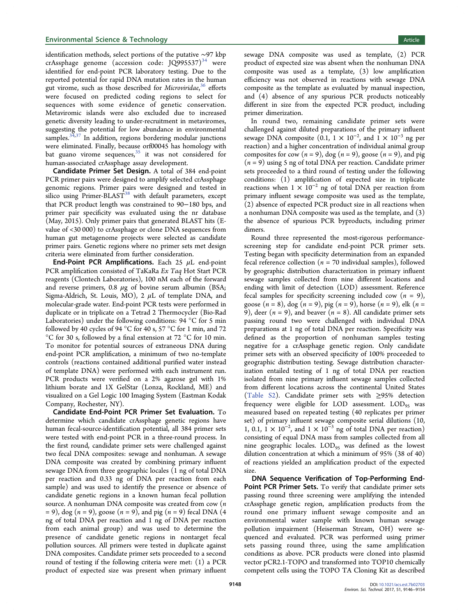identification methods, select portions of the putative ∼97 kbp crAssphage genome (accession code:  $JQ995537$ )<sup>[34](#page-8-0)</sup> were identified for end-point PCR laboratory testing. Due to the reported potential for rapid DNA mutation rates in the human gut virome, such as those described for Microviridae,<sup>[36](#page-8-0)</sup> efforts were focused on predicted coding regions to select for sequences with some evidence of genetic conservation. Metaviromic islands were also excluded due to increased genetic diversity leading to under-recruitment in metaviromes, suggesting the potential for low abundance in environmental samples. $34,37$  $34,37$  $34,37$  In addition, regions bordering modular junctions were eliminated. Finally, because orf00045 has homology with bat guano virome sequences, $35$  it was not considered for human-associated crAssphage assay development.

Candidate Primer Set Design. A total of 384 end-point PCR primer pairs were designed to amplify selected crAssphage genomic regions. Primer pairs were designed and tested in silico using Primer-BLAST<sup>[38](#page-8-0)</sup> with default parameters, except that PCR product length was constrained to 90−180 bps, and primer pair specificity was evaluated using the nr database (May, 2015). Only primer pairs that generated BLAST hits (Evalue of <30 000) to crAssphage or clone DNA sequences from human gut metagenome projects were selected as candidate primer pairs. Genetic regions where no primer sets met design criteria were eliminated from further consideration.

End-Point PCR Amplifications. Each 25  $\mu$ L end-point PCR amplification consisted of TaKaRa Ex Taq Hot Start PCR reagents (Clontech Laboratories), 100 nM each of the forward and reverse primers, 0.8  $\mu$ g of bovine serum albumin (BSA; Sigma-Aldrich, St. Louis, MO), 2  $\mu$ L of template DNA, and molecular-grade water. End-point PCR tests were performed in duplicate or in triplicate on a Tetrad 2 Thermocycler (Bio-Rad Laboratories) under the following conditions: 94 °C for 5 min followed by 40 cycles of 94 °C for 40 s, 57 °C for 1 min, and 72  $^{\circ} \mathrm C$  for 30 s, followed by a final extension at 72  $^{\circ} \mathrm C$  for 10 min. To monitor for potential sources of extraneous DNA during end-point PCR amplification, a minimum of two no-template controls (reactions contained additional purified water instead of template DNA) were performed with each instrument run. PCR products were verified on a 2% agarose gel with 1% lithium borate and 1X GelStar (Lonza, Rockland, ME) and visualized on a Gel Logic 100 Imaging System (Eastman Kodak Company, Rochester, NY).

Candidate End-Point PCR Primer Set Evaluation. To determine which candidate crAssphage genetic regions have human fecal-source-identification potential, all 384 primer sets were tested with end-point PCR in a three-round process. In the first round, candidate primer sets were challenged against two fecal DNA composites: sewage and nonhuman. A sewage DNA composite was created by combining primary influent sewage DNA from three geographic locales (1 ng of total DNA per reaction and 0.33 ng of DNA per reaction from each sample) and was used to identify the presence or absence of candidate genetic regions in a known human fecal pollution source. A nonhuman DNA composite was created from cow  $(n)$  $= 9$ ), dog (*n* = 9), goose (*n* = 9), and pig (*n* = 9) fecal DNA (4) ng of total DNA per reaction and 1 ng of DNA per reaction from each animal group) and was used to determine the presence of candidate genetic regions in nontarget fecal pollution sources. All primers were tested in duplicate against DNA composites. Candidate primer sets proceeded to a second round of testing if the following criteria were met: (1) a PCR product of expected size was present when primary influent

sewage DNA composite was used as template, (2) PCR product of expected size was absent when the nonhuman DNA composite was used as a template, (3) low amplification efficiency was not observed in reactions with sewage DNA composite as the template as evaluated by manual inspection, and (4) absence of any spurious PCR products noticeably different in size from the expected PCR product, including primer dimerization.

In round two, remaining candidate primer sets were challenged against diluted preparations of the primary influent sewage DNA composite (0.1,  $1 \times 10^{-2}$ , and  $1 \times 10^{-3}$  ng per reaction) and a higher concentration of individual animal group composites for cow  $(n = 9)$ , dog  $(n = 9)$ , goose  $(n = 9)$ , and pig  $(n = 9)$  using 5 ng of total DNA per reaction. Candidate primer sets proceeded to a third round of testing under the following conditions: (1) amplification of expected size in triplicate reactions when  $1 \times 10^{-2}$  ng of total DNA per reaction from primary influent sewage composite was used as the template, (2) absence of expected PCR product size in all reactions when a nonhuman DNA composite was used as the template, and (3) the absence of spurious PCR byproducts, including primer dimers.

Round three represented the most-rigorous performancescreening step for candidate end-point PCR primer sets. Testing began with specificity determination from an expanded fecal reference collection ( $n = 70$  individual samples), followed by geographic distribution characterization in primary influent sewage samples collected from nine different locations and ending with limit of detection (LOD) assessment. Reference fecal samples for specificity screening included cow  $(n = 9)$ , goose  $(n = 8)$ , dog  $(n = 9)$ , pig  $(n = 9)$ , horse  $(n = 9)$ , elk  $(n = 1)$ 9), deer ( $n = 9$ ), and beaver ( $n = 8$ ). All candidate primer sets passing round two were challenged with individual DNA preparations at 1 ng of total DNA per reaction. Specificity was defined as the proportion of nonhuman samples testing negative for a crAssphage genetic region. Only candidate primer sets with an observed specificity of 100% proceeded to geographic distribution testing. Sewage distribution characterization entailed testing of 1 ng of total DNA per reaction isolated from nine primary influent sewage samples collected from different locations across the continental United States [\(Table S2](http://pubs.acs.org/doi/suppl/10.1021/acs.est.7b02703/suppl_file/es7b02703_si_001.pdf)). Candidate primer sets with  $\geq$ 95% detection frequency were eligible for LOD assessment.  $\text{LOD}_{95}$  was measured based on repeated testing (40 replicates per primer set) of primary influent sewage composite serial dilutions (10, 1, 0.1,  $1 \times 10^{-2}$ , and  $1 \times 10^{-3}$  ng of total DNA per reaction) consisting of equal DNA mass from samples collected from all nine geographic locales. LOD<sub>95</sub> was defined as the lowest dilution concentration at which a minimum of 95% (38 of 40) of reactions yielded an amplification product of the expected size.

DNA Sequence Verification of Top-Performing End-Point PCR Primer Sets. To verify that candidate primer sets passing round three screening were amplifying the intended crAssphage genetic region, amplification products from the round one primary influent sewage composite and an environmental water sample with known human sewage pollution impairment (Heiserman Stream, OH) were sequenced and evaluated. PCR was performed using primer sets passing round three, using the same amplification conditions as above. PCR products were cloned into plasmid vector pCR2.1-TOPO and transformed into TOP10 chemically competent cells using the TOPO TA Cloning Kit as described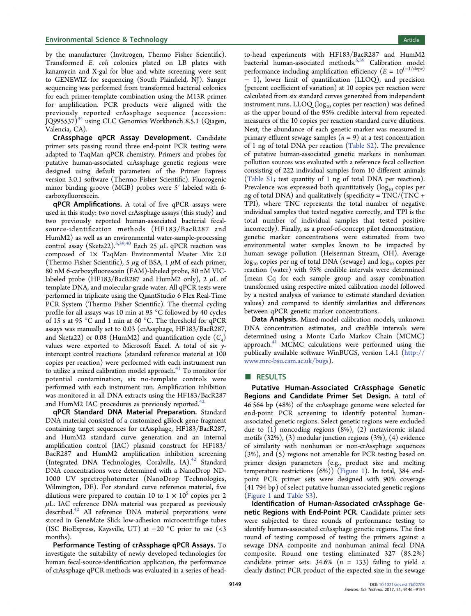#### **Environmental Science & Technology Article** Article 30 and 30 and 30 and 30 and 30 and 30 and 30 and 30 and 30 and 30 and 30 and 30 and 30 and 30 and 30 and 30 and 30 and 30 and 30 and 30 and 30 and 30 and 30 and 30 and 3

by the manufacturer (Invitrogen, Thermo Fisher Scientific). Transformed E. coli colonies plated on LB plates with kanamycin and X-gal for blue and white screening were sent to GENEWIZ for sequencing (South Plainfield, NJ). Sanger sequencing was performed from transformed bacterial colonies for each primer-template combination using the M13R primer for amplification. PCR products were aligned with the previously reported crAssphage sequence (accession: JQ995537)<sup>[34](#page-8-0)</sup> using CLC Genomics Workbench 8.5.1 (Qiagen, Valencia, CA).

CrAssphage qPCR Assay Development. Candidate primer sets passing round three end-point PCR testing were adapted to TaqMan qPCR chemistry. Primers and probes for putative human-associated crAssphage genetic regions were designed using default parameters of the Primer Express version 3.0.1 software (Thermo Fisher Scientific). Fluorogenic minor binding groove (MGB) probes were 5′ labeled with 6 carboxyfluorescein.

qPCR Amplifications. A total of five qPCR assays were used in this study: two novel crAssphage assays (this study) and two previously reported human-associated bacterial fecalsource-identification methods (HF183/BacR287 and HumM2) as well as an environmental water-sample-processing control assay (Sketa22).<sup>[5](#page-7-0)[,39](#page-8-0),[40](#page-8-0)</sup> Each 25  $\mu$ L qPCR reaction was composed of  $1\times$  TaqMan Environmental Master Mix 2.0 (Thermo Fisher Scientific), 5  $\mu$ g of BSA, 1  $\mu$ M of each primer, 80 nM 6-carboxyfluorescein (FAM)-labeled probe, 80 nM VIClabeled probe (HF183/BacR287 and HumM2 only), 2  $\mu$ L of template DNA, and molecular-grade water. All qPCR tests were performed in triplicate using the QuantStudio 6 Flex Real-Time PCR System (Thermo Fisher Scientific). The thermal cycling profile for all assays was 10 min at 95 °C followed by 40 cycles of 15 s at 95 °C and 1 min at 60 °C. The threshold for qPCR assays was manually set to 0.03 (crAssphage, HF183/BacR287, and Sketa22) or 0.08 (HumM2) and quantification cycle  $(C_q)$ values were exported to Microsoft Excel. A total of six  $y$ intercept control reactions (standard reference material at 100 copies per reaction) were performed with each instrument run to utilize a mixed calibration model approach.<sup>[41](#page-8-0)</sup> To monitor for potential contamination, six no-template controls were performed with each instrument run. Amplification inhibition was monitored in all DNA extracts using the HF183/BacR287 and HumM2 IAC procedures as previously reported. $42$ 

qPCR Standard DNA Material Preparation. Standard DNA material consisted of a customized gBlock gene fragment containing target sequences for crAssphage, HF183/BacR287, and HumM2 standard curve generation and an internal amplification control (IAC) plasmid construct for HF183/ BacR287 and HumM2 amplification inhibition screening (Integrated DNA Technologies, Coralville, IA).<sup>[42](#page-8-0)</sup> Standard DNA concentrations were determined with a NanoDrop ND-1000 UV spectrophotometer (NanoDrop Technologies, Wilmington, DE). For standard curve reference material, five dilutions were prepared to contain 10 to  $1 \times 10^5$  copies per 2  $\mu$ L. IAC reference DNA material was prepared as previously described.<sup>[42](#page-8-0)</sup> All reference DNA material preparations were stored in GeneMate Slick low-adhesion microcentrifuge tubes (ISC BioExpress, Kaysville, UT) at −20 °C prior to use (<3 months).

Performance Testing of crAssphage qPCR Assays. To investigate the suitability of newly developed technologies for human fecal-source-identification application, the performance of crAssphage qPCR methods was evaluated in a series of headto-head experiments with HF183/BacR287 and HumM2 bacterial human-associated methods.[5](#page-7-0)[,39](#page-8-0) Calibration model performance including amplification efficiency ( $E = 10^{(-1/\text{slope})}$ − 1), lower limit of quantification (LLOQ), and precision (percent coefficient of variation) at 10 copies per reaction were calculated from six standard curves generated from independent instrument runs. LLOQ ( $log_{10}$  copies per reaction) was defined as the upper bound of the 95% credible interval from repeated measures of the 10 copies per reaction standard curve dilutions. Next, the abundance of each genetic marker was measured in primary effluent sewage samples  $(n = 9)$  at a test concentration of 1 ng of total DNA per reaction ([Table S2\)](http://pubs.acs.org/doi/suppl/10.1021/acs.est.7b02703/suppl_file/es7b02703_si_001.pdf). The prevalence of putative human-associated genetic markers in nonhuman pollution sources was evaluated with a reference fecal collection consisting of 222 individual samples from 10 different animals [\(Table S1](http://pubs.acs.org/doi/suppl/10.1021/acs.est.7b02703/suppl_file/es7b02703_si_001.pdf); test quantity of 1 ng of total DNA per reaction). Prevalence was expressed both quantitatively  $(\log_{10} \text{ copies per})$ ng of total DNA) and qualitatively (specificity =  $TNC/(TNC +$ TPI), where TNC represents the total number of negative individual samples that tested negative correctly, and TPI is the total number of individual samples that tested positive incorrectly). Finally, as a proof-of-concept pilot demonstration, genetic marker concentrations were estimated from two environmental water samples known to be impacted by human sewage pollution (Heiserman Stream, OH). Average  $log_{10}$  copies per ng of total DNA (sewage) and  $log_{10}$  copies per reaction (water) with 95% credible intervals were determined (mean Cq for each sample group and assay combination transformed using respective mixed calibration model followed by a nested analysis of variance to estimate standard deviation values) and compared to identify similarities and differences between qPCR genetic marker concentrations.

Data Analysis. Mixed-model calibration models, unknown DNA concentration estimates, and credible intervals were determined using a Monte Carlo Markov Chain (MCMC) approach. $41$  MCMC calculations were performed using the publically available software WinBUGS, version 1.4.1 [\(http://](http://www.mrc-bsu.cam.ac.uk/bugs) [www.mrc-bsu.cam.ac.uk/bugs](http://www.mrc-bsu.cam.ac.uk/bugs)).

#### ■ RESULTS

Putative Human-Associated CrAssphage Genetic Regions and Candidate Primer Set Design. A total of 46 564 bp (48%) of the crAssphage genome were selected for end-point PCR screening to identify potential humanassociated genetic regions. Select genetic regions were excluded due to (1) noncoding regions (8%), (2) metaviromic island motifs (32%), (3) modular junction regions (3%), (4) evidence of similarity with nonhuman or non-crAssphage sequences (3%), and (5) regions not amenable for PCR testing based on primer design parameters (e.g., product size and melting temperature restrictions (6%)) ([Figure 1](#page-4-0)). In total, 384 endpoint PCR primer sets were designed with 90% coverage (41 794 bp) of select putative human-associated genetic regions [\(Figure 1](#page-4-0) and [Table S3\)](http://pubs.acs.org/doi/suppl/10.1021/acs.est.7b02703/suppl_file/es7b02703_si_001.pdf).

Identification of Human-Associated crAssphage Genetic Regions with End-Point PCR. Candidate primer sets were subjected to three rounds of performance testing to identify human-associated crAssphage genetic regions. The first round of testing composed of testing the primers against a sewage DNA composite and nonhuman animal fecal DNA composite. Round one testing eliminated 327 (85.2%) candidate primer sets:  $34.6\%$  ( $n = 133$ ) failing to yield a clearly distinct PCR product of the expected size in the sewage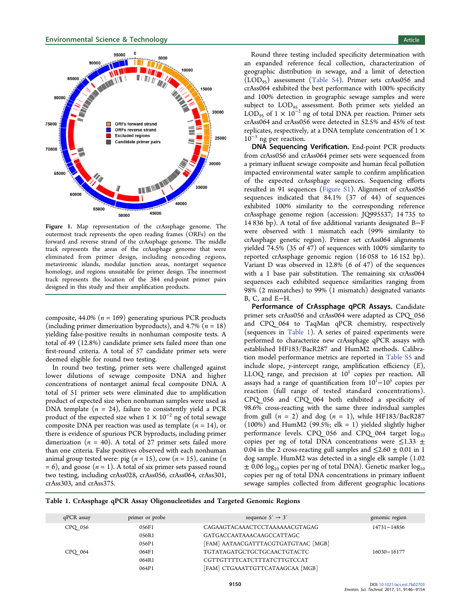<span id="page-4-0"></span>

Figure 1. Map representation of the crAssphage genome. The outermost track represents the open reading frames (ORFs) on the forward and reverse strand of the crAssphage genome. The middle track represents the areas of the crAssphage genome that were eliminated from primer design, including noncoding regions, metaviromic islands, modular junction areas, nontarget sequence homology, and regions unsuitable for primer design. The innermost track represents the location of the 384 end-point primer pairs designed in this study and their amplification products.

composite, 44.0% ( $n = 169$ ) generating spurious PCR products (including primer dimerization byproducts), and 4.7% ( $n = 18$ ) yielding false-positive results in nonhuman composite tests. A total of 49 (12.8%) candidate primer sets failed more than one first-round criteria. A total of 57 candidate primer sets were deemed eligible for round two testing.

In round two testing, primer sets were challenged against lower dilutions of sewage composite DNA and higher concentrations of nontarget animal fecal composite DNA. A total of 51 primer sets were eliminated due to amplification product of expected size when nonhuman samples were used as DNA template  $(n = 24)$ , failure to consistently yield a PCR product of the expected size when  $1 \times 10^{-2}$  ng of total sewage composite DNA per reaction was used as template  $(n = 14)$ , or there is evidence of spurious PCR byproducts, including primer dimerization ( $n = 40$ ). A total of 27 primer sets failed more than one criteria. False positives observed with each nonhuman animal group tested were: pig ( $n = 15$ ), cow ( $n = 15$ ), canine ( $n = 15$ )  $= 6$ ), and goose ( $n = 1$ ). A total of six primer sets passed round two testing, including crAss028, crAss056, crAss064, crAss301, crAss303, and crAss375.

Round three testing included specificity determination with an expanded reference fecal collection, characterization of geographic distribution in sewage, and a limit of detection  $(LOD_{95})$  assessment [\(Table S4](http://pubs.acs.org/doi/suppl/10.1021/acs.est.7b02703/suppl_file/es7b02703_si_001.pdf)). Primer sets crAss056 and crAss064 exhibited the best performance with 100% specificity and 100% detection in geographic sewage samples and were subject to  $\text{LOD}_{95}$  assessment. Both primer sets yielded an LOD<sub>95</sub> of 1 × 10<sup>-2</sup> ng of total DNA per reaction. Primer sets crAss064 and crAss056 were detected in 52.5% and 45% of test replicates, respectively, at a DNA template concentration of  $1 \times$  $10^{-3}$  ng per reaction.

DNA Sequencing Verification. End-point PCR products from crAss056 and crAss064 primer sets were sequenced from a primary influent sewage composite and human fecal pollution impacted environmental water sample to confirm amplification of the expected crAssphage sequences. Sequencing efforts resulted in 91 sequences [\(Figure S1\)](http://pubs.acs.org/doi/suppl/10.1021/acs.est.7b02703/suppl_file/es7b02703_si_001.pdf). Alignment of crAss056 sequences indicated that 84.1% (37 of 44) of sequences exhibited 100% similarity to the corresponding reference crAssphage genome region (accession: JQ995537; 14 735 to 14 836 bp). A total of five additional variants designated B−F were observed with 1 mismatch each (99% similarity to crAssphage genetic region). Primer set crAss064 alignments yielded 74.5% (35 of 47) of sequences with 100% similarity to reported crAssphage genomic region (16 058 to 16 152 bp). Variant D was observed in 12.8% (6 of 47) of the sequences with a 1 base pair substitution. The remaining six crAss064 sequences each exhibited sequence similarities ranging from 98% (2 mismatches) to 99% (1 mismatch) designated variants B, C, and E−H.

Performance of CrAssphage qPCR Assays. Candidate primer sets crAss056 and crAss064 were adapted as CPQ\_056 and CPQ\_064 to TaqMan qPCR chemistry, respectively (sequences in Table 1). A series of paired experiments were performed to characterize new crAssphage qPCR assays with established HF183/BacR287 and HumM2 methods. Calibration model performance metrics are reported in [Table S5](http://pubs.acs.org/doi/suppl/10.1021/acs.est.7b02703/suppl_file/es7b02703_si_001.pdf) and include slope, y-intercept range, amplification efficiency  $(E)$ , LLOQ range, and precision at  $10<sup>1</sup>$  copies per reaction. All assays had a range of quantification from  $10^{\overline{1}}-10^{\overline{5}}$  copies per reaction (full range of tested standard concentrations). CPQ\_056 and CPQ\_064 both exhibited a specificity of 98.6% cross-reacting with the same three individual samples from gull  $(n = 2)$  and dog  $(n = 1)$ , while HF183/BacR287  $(100%)$  and HumM2  $(99.5%)$ ; elk = 1) yielded slightly higher performance levels. CPQ 056 and CPQ 064 target  $log_{10}$ copies per ng of total DNA concentrations were  $\leq$ 1.33  $\pm$ 0.04 in the 2 cross-reacting gull samples and  $\leq$ 2.60  $\pm$  0.01 in 1 dog sample. HumM2 was detected in a single elk sample (1.02  $\pm$  0.06 log<sub>10</sub> copies per ng of total DNA). Genetic marker log<sub>10</sub> copies per ng of total DNA concentrations in primary influent sewage samples collected from different geographic locations

|  |  |  | Table 1. CrAssphage qPCR Assay Oligonucleotides and Targeted Genomic Regions |  |  |
|--|--|--|------------------------------------------------------------------------------|--|--|
|--|--|--|------------------------------------------------------------------------------|--|--|

| qPCR assay | primer or probe | sequence $5' \rightarrow 3'$        | genomic region  |
|------------|-----------------|-------------------------------------|-----------------|
| CPQ 056    | 056F1           | CAGAAGTACAAACTCCTAAAAAACGTAGAG      | $14731 - 14856$ |
|            | 056R1           | GATGACCAATAAACAAGCCATTAGC           |                 |
|            | 056P1           | [FAM] AATAACGATTTACGTGATGTAAC [MGB] |                 |
| CPQ 064    | 064F1           | TGTATAGATGCTGCTGCAACTGTACTC         | 16030-16177     |
|            | 064R1           | CGTTGTTTTCATCTTTATCTTGTCCAT         |                 |
|            | 064P1           | [FAM] CTGAAATTGTTCATAAGCAA [MGB]    |                 |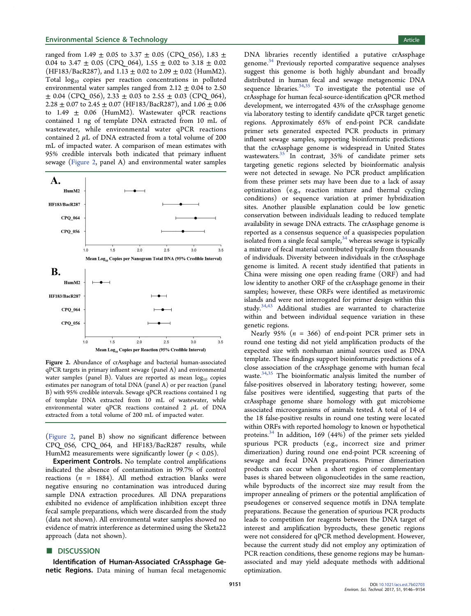ranged from 1.49  $\pm$  0.05 to 3.37  $\pm$  0.05 (CPQ\_056), 1.83  $\pm$ 0.04 to 3.47  $\pm$  0.05 (CPQ 064), 1.55  $\pm$  0.02 to 3.18  $\pm$  0.02 (HF183/BacR287), and  $1.13 \pm 0.02$  to  $2.09 \pm 0.02$  (HumM2). Total  $log_{10}$  copies per reaction concentrations in polluted environmental water samples ranged from  $2.12 \pm 0.04$  to 2.50  $\pm$  0.04 (CPQ 056), 2.33  $\pm$  0.03 to 2.55  $\pm$  0.03 (CPQ 064), 2.28  $\pm$  0.07 to 2.45  $\pm$  0.07 (HF183/BacR287), and 1.06  $\pm$  0.06 to 1.49  $\pm$  0.06 (HumM2). Wastewater qPCR reactions contained 1 ng of template DNA extracted from 10 mL of wastewater, while environmental water qPCR reactions contained 2  $\mu$ L of DNA extracted from a total volume of 200 mL of impacted water. A comparison of mean estimates with 95% credible intervals both indicated that primary influent sewage (Figure 2, panel A) and environmental water samples



Figure 2. Abundance of crAssphage and bacterial human-associated qPCR targets in primary influent sewage (panel A) and environmental water samples (panel B). Values are reported as mean  $log_{10}$  copies estimates per nanogram of total DNA (panel A) or per reaction (panel B) with 95% credible intervals. Sewage qPCR reactions contained 1 ng of template DNA extracted from 10 mL of wastewater, while environmental water qPCR reactions contained 2  $\mu$ L of DNA extracted from a total volume of 200 mL of impacted water.

(Figure 2, panel B) show no significant difference between CPQ\_056, CPQ\_064, and HF183/BacR287 results, while HumM2 measurements were significantly lower ( $p < 0.05$ ).

**Experiment Controls.** No template control amplifications indicated the absence of contamination in 99.7% of control reactions ( $n = 1884$ ). All method extraction blanks were negative ensuring no contamination was introduced during sample DNA extraction procedures. All DNA preparations exhibited no evidence of amplification inhibition except three fecal sample preparations, which were discarded from the study (data not shown). All environmental water samples showed no evidence of matrix interference as determined using the Sketa22 approach (data not shown).

# **DISCUSSION**

Identification of Human-Associated CrAssphage Genetic Regions. Data mining of human fecal metagenomic DNA libraries recently identified a putative crAssphage genome.<sup>[34](#page-8-0)</sup> Previously reported comparative sequence analyses suggest this genome is both highly abundant and broadly distributed in human fecal and sewage metagenomic DNA sequence libraries.  $34,35$  To investigate the potential use of crAssphage for human fecal-source-identification qPCR method development, we interrogated 43% of the crAssphage genome via laboratory testing to identify candidate qPCR target genetic regions. Approximately 65% of end-point PCR candidate primer sets generated expected PCR products in primary influent sewage samples, supporting bioinformatic predictions that the crAssphage genome is widespread in United States wastewaters.[35](#page-8-0) In contrast, 35% of candidate primer sets targeting genetic regions selected by bioinformatic analysis were not detected in sewage. No PCR product amplification from these primer sets may have been due to a lack of assay optimization (e.g., reaction mixture and thermal cycling conditions) or sequence variation at primer hybridization sites. Another plausible explanation could be low genetic conservation between individuals leading to reduced template availability in sewage DNA extracts. The crAssphage genome is reported as a consensus sequence of a quasispecies population isolated from a single fecal sample,<sup>[34](#page-8-0)</sup> whereas sewage is typically a mixture of fecal material contributed typically from thousands of individuals. Diversity between individuals in the crAssphage genome is limited. A recent study identified that patients in China were missing one open reading frame (ORF) and had low identity to another ORF of the crAssphage genome in their samples; however, these ORFs were identified as metaviromic islands and were not interrogated for primer design within this study.[34,43](#page-8-0) Additional studies are warranted to characterize within and between individual sequence variation in these genetic regions.

Nearly 95% ( $n = 366$ ) of end-point PCR primer sets in round one testing did not yield amplification products of the expected size with nonhuman animal sources used as DNA template. These findings support bioinformatic predictions of a close association of the crAssphage genome with human fecal waste. $34,35$  $34,35$  $34,35$  The bioinformatic analysis limited the number of false-positives observed in laboratory testing; however, some false positives were identified, suggesting that parts of the crAssphage genome share homology with gut microbiome associated microorganisms of animals tested. A total of 14 of the 18 false-positive results in round one testing were located within ORFs with reported homology to known or hypothetical proteins. $34$  In addition, 169 (44%) of the primer sets yielded spurious PCR products (e.g., incorrect size and primer dimerization) during round one end-point PCR screening of sewage and fecal DNA preparations. Primer dimerization products can occur when a short region of complementary bases is shared between oligonucleotides in the same reaction, while byproducts of the incorrect size may result from the improper annealing of primers or the potential amplification of pseudogenes or conserved sequence motifs in DNA template preparations. Because the generation of spurious PCR products leads to competition for reagents between the DNA target of interest and amplification byproducts, these genetic regions were not considered for qPCR method development. However, because the current study did not employ any optimization of PCR reaction conditions, these genome regions may be humanassociated and may yield adequate methods with additional optimization.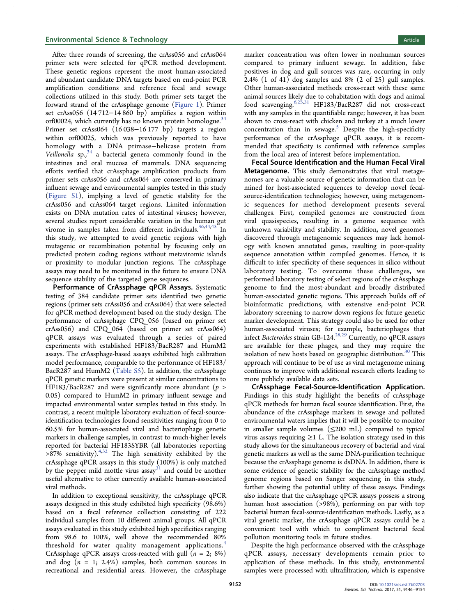After three rounds of screening, the crAss056 and crAss064 primer sets were selected for qPCR method development. These genetic regions represent the most human-associated and abundant candidate DNA targets based on end-point PCR amplification conditions and reference fecal and sewage collections utilized in this study. Both primer sets target the forward strand of the crAssphage genome [\(Figure 1\)](#page-4-0). Primer set crAss056 (14 712−14 860 bp) amplifies a region within orf00024, which currently has no known protein homologue.<sup>[34](#page-8-0)</sup> Primer set crAss064 (16 038−16 177 bp) targets a region within orf00025, which was previously reported to have homology with a DNA primase−helicase protein from Veillonella sp., $34$  a bacterial genera commonly found in the intestines and oral mucosa of mammals. DNA sequencing efforts verified that crAssphage amplification products from primer sets crAss056 and crAss064 are conserved in primary influent sewage and environmental samples tested in this study [\(Figure S1](http://pubs.acs.org/doi/suppl/10.1021/acs.est.7b02703/suppl_file/es7b02703_si_001.pdf)), implying a level of genetic stability for the crAss056 and crAss064 target regions. Limited information exists on DNA mutation rates of intestinal viruses; however, several studies report considerable variation in the human gut virome in samples taken from different individuals.<sup>[36,44](#page-8-0),[45](#page-8-0)</sup> In this study, we attempted to avoid genetic regions with high mutagenic or recombination potential by focusing only on predicted protein coding regions without metaviromic islands or proximity to modular junction regions. The crAssphage assays may need to be monitored in the future to ensure DNA sequence stability of the targeted gene sequences.

Performance of CrAssphage qPCR Assays. Systematic testing of 384 candidate primer sets identified two genetic regions (primer sets crAss056 and crAss064) that were selected for qPCR method development based on the study design. The performance of crAssphage CPQ\_056 (based on primer set crAss056) and CPQ\_064 (based on primer set crAss064) qPCR assays was evaluated through a series of paired experiments with established HF183/BacR287 and HumM2 assays. The crAssphage-based assays exhibited high calibration model performance, comparable to the performance of HF183/ BacR287 and HumM2 [\(Table S5](http://pubs.acs.org/doi/suppl/10.1021/acs.est.7b02703/suppl_file/es7b02703_si_001.pdf)). In addition, the crAssphage qPCR genetic markers were present at similar concentrations to HF183/BacR287 and were significantly more abundant ( $p >$ 0.05) compared to HumM2 in primary influent sewage and impacted environmental water samples tested in this study. In contrast, a recent multiple laboratory evaluation of fecal-sourceidentification technologies found sensitivities ranging from 0 to 60.5% for human-associated viral and bacteriophage genetic markers in challenge samples, in contrast to much-higher levels reported for bacterial HF183SYBR (all laboratories reporting  $>87\%$  sensitivity).<sup>[4](#page-7-0),[32](#page-8-0)</sup> The high sensitivity exhibited by the crAssphage qPCR assays in this study (100%) is only matched by the pepper mild mottle virus assay $31$  and could be another useful alternative to other currently available human-associated viral methods.

In addition to exceptional sensitivity, the crAssphage qPCR assays designed in this study exhibited high specificity (98.6%) based on a fecal reference collection consisting of 222 individual samples from 10 different animal groups. All qPCR assays evaluated in this study exhibited high specificities ranging from 98.6 to 100%, well above the recommended 80% threshold for water quality management applications.<sup>[4](#page-7-0)</sup> CrAssphage qPCR assays cross-reacted with gull  $(n = 2, 8\%)$ and dog  $(n = 1; 2.4\%)$  samples, both common sources in recreational and residential areas. However, the crAssphage

marker concentration was often lower in nonhuman sources compared to primary influent sewage. In addition, false positives in dog and gull sources was rare, occurring in only 2.4% (1 of 41) dog samples and 8% (2 of 25) gull samples. Other human-associated methods cross-react with these same animal sources likely due to cohabitation with dogs and animal food scavenging.<sup>[6](#page-7-0)[,25](#page-8-0),[31](#page-8-0)</sup> HF183/BacR287 did not cross-react with any samples in the quantifiable range; however, it has been shown to cross-react with chicken and turkey at a much lower concentration than in sewage.<sup>[5](#page-7-0)</sup> Despite the high-specificity performance of the crAssphage qPCR assays, it is recommended that specificity is confirmed with reference samples from the local area of interest before implementation.

Fecal Source Identification and the Human Fecal Viral Metagenome. This study demonstrates that viral metagenomes are a valuable source of genetic information that can be mined for host-associated sequences to develop novel fecalsource-identification technologies; however, using metagenomic sequences for method development presents several challenges. First, compiled genomes are constructed from viral quasispecies, resulting in a genome sequence with unknown variability and stability. In addition, novel genomes discovered through metagenomic sequences may lack homology with known annotated genes, resulting in poor-quality sequence annotation within compiled genomes. Hence, it is difficult to infer specificity of these sequences in silico without laboratory testing. To overcome these challenges, we performed laboratory testing of select regions of the crAssphage genome to find the most-abundant and broadly distributed human-associated genetic regions. This approach builds off of bioinformatic predictions, with extensive end-point PCR laboratory screening to narrow down regions for future genetic marker development. This strategy could also be used for other human-associated viruses; for example, bacteriophages that infect Bacteroides strain GB-124.<sup>[28](#page-8-0),[29](#page-8-0)</sup> Currently, no qPCR assays are available for these phages, and they may require the isolation of new hosts based on geographic distribution.<sup>[30](#page-8-0)</sup> This approach will continue to be of use as viral metagenome mining continues to improve with additional research efforts leading to more publicly available data sets.

CrAssphage Fecal-Source-Identification Application. Findings in this study highlight the benefits of crAssphage qPCR methods for human fecal source identification. First, the abundance of the crAssphage markers in sewage and polluted environmental waters implies that it will be possible to monitor in smaller sample volumes  $(\leq 200 \text{ mL})$  compared to typical virus assays requiring  $\geq$ 1 L. The isolation strategy used in this study allows for the simultaneous recovery of bacterial and viral genetic markers as well as the same DNA-purification technique because the crAssphage genome is dsDNA. In addition, there is some evidence of genetic stability for the crAssphage method genome regions based on Sanger sequencing in this study, further showing the potential utility of these assays. Findings also indicate that the crAssphage qPCR assays possess a strong human host association (>98%), performing on par with top bacterial human fecal-source-identification methods. Lastly, as a viral genetic marker, the crAssphage qPCR assays could be a convenient tool with which to compliment bacterial fecal pollution monitoring tools in future studies.

Despite the high performance observed with the crAssphage qPCR assays, necessary developments remain prior to application of these methods. In this study, environmental samples were processed with ultrafiltration, which is expensive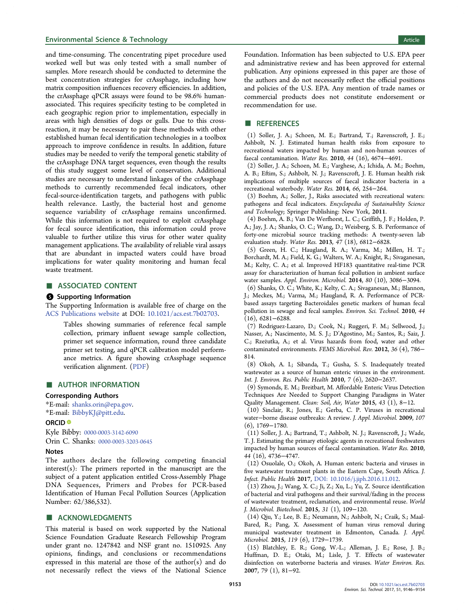#### <span id="page-7-0"></span>**Environmental Science & Technology Article** Article 30 and 30 and 30 and 30 and 30 and 30 and 30 and 30 and 30 and 30 and 30 and 30 and 30 and 30 and 30 and 30 and 30 and 30 and 30 and 30 and 30 and 30 and 30 and 30 and 3

and time-consuming. The concentrating pipet procedure used worked well but was only tested with a small number of samples. More research should be conducted to determine the best concentration strategies for crAssphage, including how matrix composition influences recovery efficiencies. In addition, the crAssphage qPCR assays were found to be 98.6% humanassociated. This requires specificity testing to be completed in each geographic region prior to implementation, especially in areas with high densities of dogs or gulls. Due to this crossreaction, it may be necessary to pair these methods with other established human fecal identification technologies in a toolbox approach to improve confidence in results. In addition, future studies may be needed to verify the temporal genetic stability of the crAssphage DNA target sequences, even though the results of this study suggest some level of conservation. Additional studies are necessary to understand linkages of the crAssphage methods to currently recommended fecal indicators, other fecal-source-identification targets, and pathogens with public health relevance. Lastly, the bacterial host and genome sequence variability of crAssphage remains unconfirmed. While this information is not required to exploit crAssphage for fecal source identification, this information could prove valuable to further utilize this virus for other water quality management applications. The availability of reliable viral assays that are abundant in impacted waters could have broad implications for water quality monitoring and human fecal waste treatment.

# ■ ASSOCIATED CONTENT

#### **6** Supporting Information

The Supporting Information is available free of charge on the [ACS Publications website](http://pubs.acs.org) at DOI: [10.1021/acs.est.7b02703](http://pubs.acs.org/doi/abs/10.1021/acs.est.7b02703).

Tables showing summaries of reference fecal sample collection, primary influent sewage sample collection, primer set sequence information, round three candidate primer set testing, and qPCR calibration model performance metrics. A figure showing crAssphage sequence verification alignment. [\(PDF](http://pubs.acs.org/doi/suppl/10.1021/acs.est.7b02703/suppl_file/es7b02703_si_001.pdf))

#### ■ AUTHOR INFORMATION

#### Corresponding Authors

\*E-mail: [shanks.orin@epa.gov](mailto:shanks.orin@epa.gov). \*E-mail: [BibbyKJ@pitt.edu](mailto:BibbyKJ@pitt.edu).

#### ORCID<sup>®</sup>

Kyle Bibby: [0000-0003-3142-6090](http://orcid.org/0000-0003-3142-6090)

Orin C. Shanks: [0000-0003-3203-0645](http://orcid.org/0000-0003-3203-0645)

#### Notes

The authors declare the following competing financial interest(s): The primers reported in the manuscript are the subject of a patent application entitled Cross-Assembly Phage DNA Sequences, Primers and Probes for PCR-based Identification of Human Fecal Pollution Sources (Application Number: 62/386,532).

## **■ ACKNOWLEDGMENTS**

This material is based on work supported by the National Science Foundation Graduate Research Fellowship Program under grant no. 1247842 and NSF grant no. 1510925. Any opinions, findings, and conclusions or recommendations expressed in this material are those of the author(s) and do not necessarily reflect the views of the National Science Foundation. Information has been subjected to U.S. EPA peer and administrative review and has been approved for external publication. Any opinions expressed in this paper are those of the authors and do not necessarily reflect the official positions and policies of the U.S. EPA. Any mention of trade names or commercial products does not constitute endorsement or recommendation for use.

#### **B** REFERENCES

(1) Soller, J. A.; Schoen, M. E.; Bartrand, T.; Ravenscroft, J. E.; Ashbolt, N. J. Estimated human health risks from exposure to recreational waters impacted by human and non-human sources of faecal contamination. Water Res. 2010, 44 (16), 4674−4691.

(2) Soller, J. A.; Schoen, M. E.; Varghese, A.; Ichida, A. M.; Boehm, A. B.; Eftim, S.; Ashbolt, N. J.; Ravenscroft, J. E. Human health risk implications of multiple sources of faecal indicator bacteria in a recreational waterbody. Water Res. 2014, 66, 254−264.

(3) Boehm, A.; Soller, J., Risks associated with recreational waters: pathogens and fecal indicators. Encyclopedia of Sustainability Science and Technology; Springer Publishing: New York, 2011.

(4) Boehm, A. B.; Van De Werfhorst, L. C.; Griffith, J. F.; Holden, P. A.; Jay, J. A.; Shanks, O. C.; Wang, D.; Weisberg, S. B. Performance of forty-one microbial source tracking methods: A twenty-seven lab evaluation study. Water Res. 2013, 47 (18), 6812−6828.

(5) Green, H. C.; Haugland, R. A.; Varma, M.; Millen, H. T.; Borchardt, M. A.; Field, K. G.; Walters, W. A.; Knight, R.; Sivaganesan, M.; Kelty, C. A.; et al. Improved HF183 quantitative real-time PCR assay for characterization of human fecal pollution in ambient surface water samples. Appl. Environ. Microbiol. 2014, 80 (10), 3086−3094.

(6) Shanks, O. C.; White, K.; Kelty, C. A.; Sivaganesan, M.; Blannon, J.; Meckes, M.; Varma, M.; Haugland, R. A. Performance of PCRbased assays targeting Bacteroidales genetic markers of human fecal pollution in sewage and fecal samples. Environ. Sci. Technol. 2010, 44 (16), 6281−6288.

(7) Rodriguez-Lazaro, D.; Cook, N.; Ruggeri, F. M.; Sellwood, J.; Nasser, A.; Nascimento, M. S. J.; D'Agostino, M.; Santos, R.; Saiz, J. C.; Rzezutka, A.; et al. Virus hazards from food, water and other ̇ contaminated environments. FEMS Microbiol. Rev. 2012, 36 (4), 786− 814.

(8) Okoh, A. I.; Sibanda, T.; Gusha, S. S. Inadequately treated wastewater as a source of human enteric viruses in the environment. Int. J. Environ. Res. Public Health 2010, 7 (6), 2620−2637.

(9) Symonds, E. M.; Breitbart, M. Affordable Enteric Virus Detection Techniques Are Needed to Support Changing Paradigms in Water Quality Management. Clean: Soil, Air, Water 2015, 43 (1), 8-12.

(10) Sinclair, R.; Jones, E.; Gerba, C. P. Viruses in recreational water−borne disease outbreaks: A review. J. Appl. Microbiol. 2009, 107 (6), 1769−1780.

(11) Soller, J. A.; Bartrand, T.; Ashbolt, N. J.; Ravenscroft, J.; Wade, T. J. Estimating the primary etiologic agents in recreational freshwaters impacted by human sources of faecal contamination. Water Res. 2010, 44 (16), 4736−4747.

(12) Osuolale, O.; Okoh, A. Human enteric bacteria and viruses in five wastewater treatment plants in the Eastern Cape, South Africa. J. Infect. Public Health 2017, [DOI: 10.1016/j.jiph.2016.11.012.](http://dx.doi.org/10.1016/j.jiph.2016.11.012)

(13) Zhou, J.; Wang, X. C.; Ji, Z.; Xu, L.; Yu, Z. Source identification of bacterial and viral pathogens and their survival/fading in the process of wastewater treatment, reclamation, and environmental reuse. World J. Microbiol. Biotechnol. 2015, 31 (1), 109−120.

(14) Qiu, Y.; Lee, B. E.; Neumann, N.; Ashbolt, N.; Craik, S.; Maal-Bared, R.; Pang, X. Assessment of human virus removal during municipal wastewater treatment in Edmonton, Canada. J. Appl. Microbiol. 2015, 119 (6), 1729−1739.

(15) Blatchley, E. R.; Gong, W.-L.; Alleman, J. E.; Rose, J. B.; Huffman, D. E.; Otaki, M.; Lisle, J. T. Effects of wastewater disinfection on waterborne bacteria and viruses. Water Environ. Res. 2007, 79 (1), 81−92.